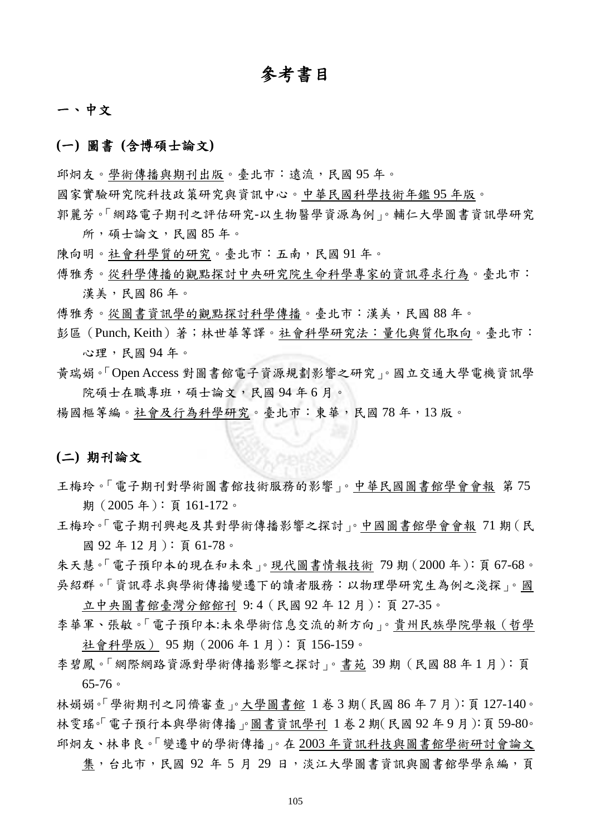# 參考書目

#### 一、中文

#### **(**一**)** 圖書 **(**含博碩士論文**)**

邱炯友。學術傳播與期刊出版。臺北市:遠流,民國 95年。

國家實驗研究院科技政策研究與資訊中心。中華民國科學技術年鑑 95 年版。

郭麗芳。「網路電子期刊之評估研究-以生物醫學資源為例」。輔仁大學圖書資訊學研究 所,碩士論文,民國 85年。

陳向明。社會科學質的研究。臺北市:五南,民國 91 年。

傳雅秀。從科學傳播的觀點探討中央研究院生命科學專家的資訊尋求行為。臺北市: 漢美,民國86年。

傅雅秀。從圖書資訊學的觀點探討科學傳播。臺北市:漢美,民國 88 年。

彭區(Punch, Keith)著;林世華等譯。社會科學研究法:量化與質化取向。臺北市: 心理,民國 94 年。

黃瑞娟。「Open Access 對圖書館電子資源規劃影響之研究」。國立交通大學電機資訊學 院碩士在職專班,碩士論文,民國94年6月。

楊國樞等編。社會及行為科學研究。臺北市:東華,民國 78 年,13 版。

#### **(**二**)** 期刊論文

- 王梅玲。「電子期刊對學術圖書館技術服務的影響」。中華民國圖書館學會會報 第 75 期 (2005年): 頁 161-172。
- 王梅玲。「電子期刊興起及其對學術傳播影響之探討」。中國圖書館學會會報 71 期(民 國 92 年 12 月):頁 61-78。

朱天慧。「電子預印本的現在和未來」。現代圖書情報技術 79 期(2000 年):頁 67-68。 吳紹群。「資訊尋求與學術傳播變遷下的讀者服務:以物理學研究生為例之淺探」。國

立中央圖書館臺灣分館館刊 9: 4(民國 92 年 12 月):頁 27-35。

李華軍、張敏。「電子預印本:未來學術信息交流的新方向」。貴州民族學院學報(哲學 社會科學版) 95 期(2006 年 1 月):頁 156-159。

李碧鳳。「網際網路資源對學術傳播影響之探討」。書苑 39 期(民國 88 年 1 月):頁 65-76。

林娟娟。「學術期刊之同儕審查」。大學圖書館 1 卷 3 期 (民國 86 年 7 月): 頁 127-140。 林雯瑤。「電子預行本與學術傳播」圖書資訊學刊 1卷2期(民國92年9月):頁59-80。 邱炯友、林串良。「變遷中的學術傳播」。在 2003 年資訊科技與圖書館學術研討會論文

集,台北市,民國 92 年 5 月 29 日,淡江大學圖書資訊與圖書館學學系編,頁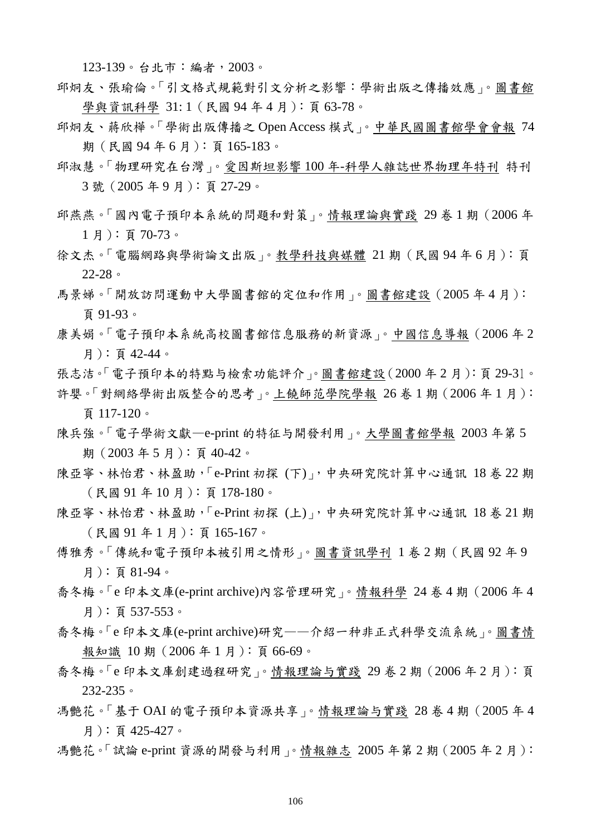123-139。台北市:編者,2003。

- 邱炯友、張瑜倫。「引文格式規範對引文分析之影響:學術出版之傳播效應」。圖書館 學與資訊科學 31:1 (民國 94年4月):頁63-78。
- 邱炯友、蔣欣樺。「學術出版傳播之 Open Access 模式」。中華民國圖書館學會會報 74 期(民國 94 年 6 月):頁 165-183。
- 邱淑慧。「物理研究在台灣」。愛因斯坦影響 100 年-科學人雜誌世界物理年特刊 特刊 3 號(2005 年 9 月):頁 27-29。
- 邱燕燕。「國內電子預印本系統的問題和對策」。情報理論與實踐 29 卷 1 期(2006 年 1 月):頁 70-73。
- 徐文杰。「電腦網路與學術論文出版」。教學科技與媒體 21 期(民國 94 年 6 月):頁 22-28。
- 馬景娣。「開放訪問運動中大學圖書館的定位和作用」。圖書館建設(2005 年 4 月): 頁 91-93。
- 康美娟。「電子預印本系統高校圖書館信息服務的新資源」。中國信息導報(2006 年 2 月):頁 42-44。
- 張志洁。「電子預印本的特點与檢索功能評介」。圖書館建設(2000 年 2 月):頁 29-31。 許嬰。「對網絡學術出版整合的思考」。上饒師范學院學報 26 卷 1 期(2006 年 1 月): 頁 117-120。
- 陳兵強。「電子學術文獻—e-print 的特征与開發利用」。大學圖書館學報 2003 年第 5 期(2003 年 5 月):頁 40-42。
- 陳亞寧、林怡君、林盈助,「e-Print 初探 (下)」,中央研究院計算中心通訊 18 卷 22 期 (民國 91 年 10 月):頁 178-180。
- 陳亞寧、林怡君、林盈助,「e-Print 初探 (上)」,中央研究院計算中心通訊 18卷 21期 (民國 91 年 1 月):頁 165-167。
- 傳雅秀。「傳統和電子預印本被引用之情形」。圖書資訊學刊 1 卷 2 期 (民國 92 年 9 月):頁 81-94。
- 喬冬梅。「e 印本文庫(e-print archive)內容管理研究」。情報科學 24 卷 4 期(2006 年 4 月):頁 537-553。
- 喬冬梅。「e 印本文庫(e-print archive)研究——介紹一种非正式科學交流系統」。圖書情 報知識 10 期(2006 年 1 月):頁 66-69。
- 喬冬梅。「e 印本文庫創建過程研究」。情報理論与實踐 29 卷 2 期(2006 年 2 月):頁 232-235。
- 馮艷花。「基于 OAI 的電子預印本資源共享」。情報理論与實踐 28 卷 4 期(2005 年 4 月):頁 425-427。
- 馮艷花。「試論 e-print 資源的開發与利用」。情報雜志 2005 年第 2 期(2005 年 2 月):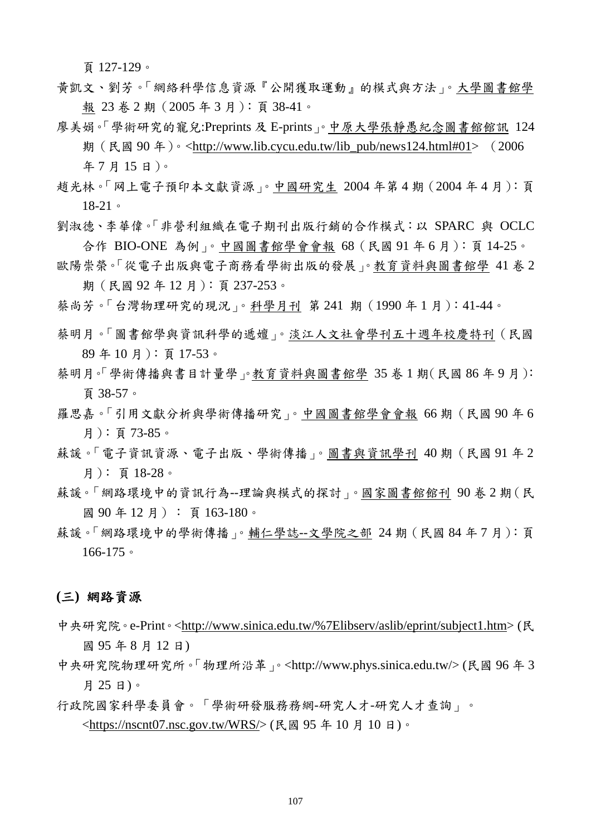頁 127-129。

- 黃凱文、劉芳。「網絡科學信息資源『公開獲取運動』的模式與方法」。大學圖書館學 報 23 卷 2 期(2005 年 3 月):頁 38-41。
- 廖美娟。「學術研究的寵兒:Preprints 及 E-prints」。中原大學張靜愚紀念圖書館館訊 124
	- 期 (民國 90 年)。<http://www.lib.cycu.edu.tw/lib\_pub/news124.html#01> (2006) 年 7 月 15 日)。
- 趙光林。「网上電子預印本文獻資源」。中國研究生 2004 年第 4 期(2004 年 4 月):頁 18-21。
- 劉淑德、李華偉。「非營利組織在電子期刊出版行銷的合作模式:以 SPARC 與 OCLC 合作 BIO-ONE 為例」。中國圖書館學會會報 68(民國 91 年 6 月):頁 14-25。
- 歐陽崇榮。「從電子出版與電子商務看學術出版的發展」。教育資料與圖書館學 41 卷 2 期(民國 92 年 12 月):頁 237-253。
- 蔡尚芳。「台灣物理研究的現況」。科學月刊 第 241 期(1990 年 1 月):41-44。
- 蔡明月。「圖書館學與資訊科學的遞嬗」。淡江人文社會學刊五十週年校慶特刊(民國 89 年 10 月):頁 17-53。
- 蔡明月。「學術傳播與書目計量學」。教育資料與圖書館學 35 卷 1 期(民國 86 年 9 月): 頁 38-57。
- 羅思嘉。「引用文獻分析與學術傳播研究」。中國圖書館學會會報 66期 (民國 90年6 月):頁 73-85。
- 蘇諼。「電子資訊資源、電子出版、學術傳播」。圖書與資訊學刊 40期 (民國 91年2 月): 頁 18-28。
- 蘇諼。「網路環境中的資訊行為--理論與模式的探討」。國家圖書館館刊 90 卷 2 期(民 國 90年12月):頁163-180。
- 蘇諼。「網路環境中的學術傳播」。輔仁學誌--文學院之部 24 期(民國 84 年 7 月):頁 166-175。

## **(**三**)** 網路資源

- 中央研究院。e-Print。<http://www.sinica.edu.tw/%7Elibserv/aslib/eprint/subject1.htm> (民 國 95 年 8 月 12 日)
- 中央研究院物理研究所。「物理所沿革」。<http://www.phys.sinica.edu.tw/> (民國 96 年 3 月 25 日)。
- 行政院國家科學委員會。「學術研發服務務網-研究人才-研究人才查詢」。

<https://nscnt07.nsc.gov.tw/WRS/> (民國 95 年 10 月 10 日)。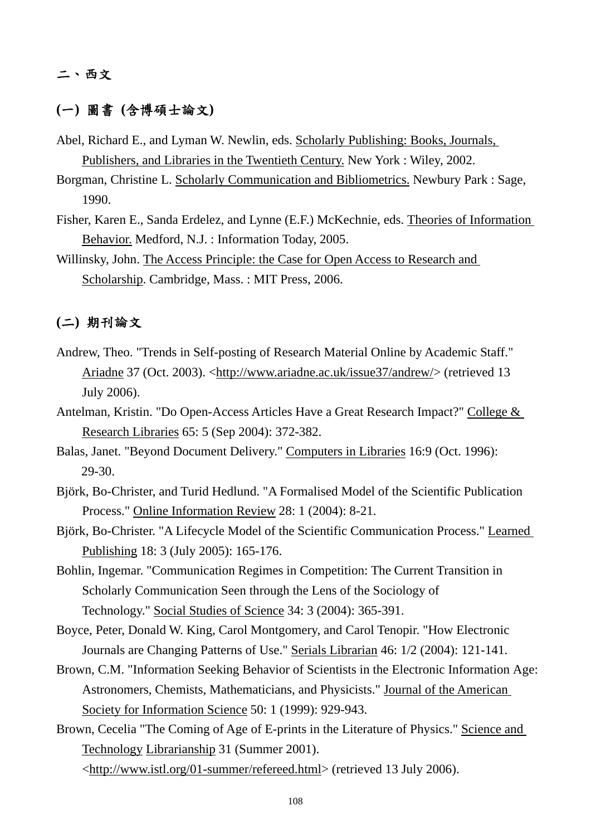## 二、西文

## **(**一**)** 圖書 **(**含博碩士論文**)**

- Abel, Richard E., and Lyman W. Newlin, eds. Scholarly Publishing: Books, Journals, Publishers, and Libraries in the Twentieth Century. New York : Wiley, 2002.
- Borgman, Christine L. Scholarly Communication and Bibliometrics. Newbury Park : Sage, 1990.
- Fisher, Karen E., Sanda Erdelez, and Lynne (E.F.) McKechnie, eds. Theories of Information Behavior. Medford, N.J. : Information Today, 2005.
- Willinsky, John. The Access Principle: the Case for Open Access to Research and Scholarship. Cambridge, Mass. : MIT Press, 2006.

# **(**二**)** 期刊論文

- Andrew, Theo. "Trends in Self-posting of Research Material Online by Academic Staff." Ariadne 37 (Oct. 2003). <http://www.ariadne.ac.uk/issue37/andrew/> (retrieved 13 July 2006).
- Antelman, Kristin. "Do Open-Access Articles Have a Great Research Impact?" College & Research Libraries 65: 5 (Sep 2004): 372-382.
- Balas, Janet. "Beyond Document Delivery." Computers in Libraries 16:9 (Oct. 1996): 29-30.
- Björk, Bo-Christer, and Turid Hedlund. "A Formalised Model of the Scientific Publication Process." Online Information Review 28: 1 (2004): 8-21.
- Björk, Bo-Christer. "A Lifecycle Model of the Scientific Communication Process." Learned Publishing 18: 3 (July 2005): 165-176.
- Bohlin, Ingemar. "Communication Regimes in Competition: The Current Transition in Scholarly Communication Seen through the Lens of the Sociology of Technology." Social Studies of Science 34: 3 (2004): 365-391.
- Boyce, Peter, Donald W. King, Carol Montgomery, and Carol Tenopir. "How Electronic Journals are Changing Patterns of Use." Serials Librarian 46: 1/2 (2004): 121-141.
- Brown, C.M. "Information Seeking Behavior of Scientists in the Electronic Information Age: Astronomers, Chemists, Mathematicians, and Physicists." Journal of the American Society for Information Science 50: 1 (1999): 929-943.
- Brown, Cecelia "The Coming of Age of E-prints in the Literature of Physics." Science and Technology Librarianship 31 (Summer 2001).

<http://www.istl.org/01-summer/refereed.html> (retrieved 13 July 2006).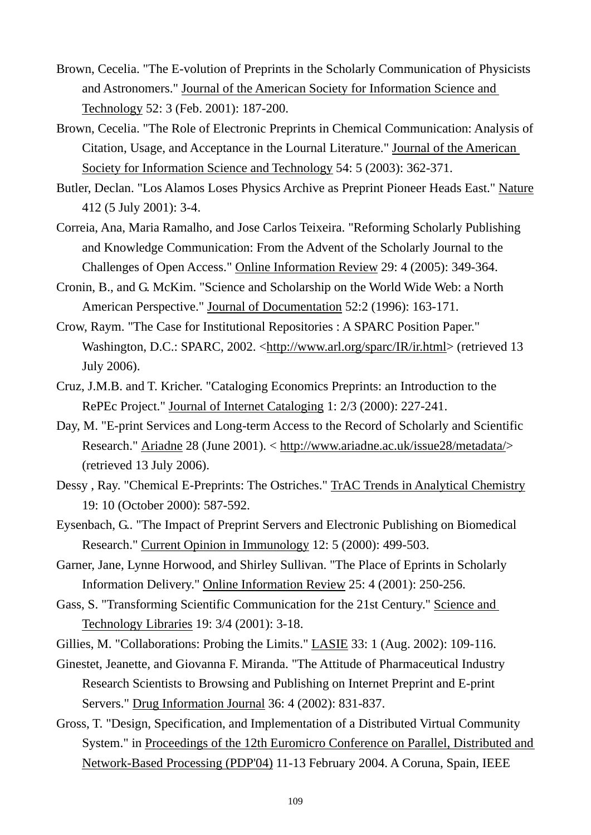- Brown, Cecelia. "The E-volution of Preprints in the Scholarly Communication of Physicists and Astronomers." Journal of the American Society for Information Science and Technology 52: 3 (Feb. 2001): 187-200.
- Brown, Cecelia. "The Role of Electronic Preprints in Chemical Communication: Analysis of Citation, Usage, and Acceptance in the Lournal Literature." Journal of the American Society for Information Science and Technology 54: 5 (2003): 362-371.
- Butler, Declan. "Los Alamos Loses Physics Archive as Preprint Pioneer Heads East." Nature 412 (5 July 2001): 3-4.
- Correia, Ana, Maria Ramalho, and Jose Carlos Teixeira. "Reforming Scholarly Publishing and Knowledge Communication: From the Advent of the Scholarly Journal to the Challenges of Open Access." Online Information Review 29: 4 (2005): 349-364.
- Cronin, B., and G. McKim. "Science and Scholarship on the World Wide Web: a North American Perspective." Journal of Documentation 52:2 (1996): 163-171.
- Crow, Raym. "The Case for Institutional Repositories : A SPARC Position Paper." Washington, D.C.: SPARC, 2002. <http://www.arl.org/sparc/IR/ir.html> (retrieved 13 July 2006).
- Cruz, J.M.B. and T. Kricher. "Cataloging Economics Preprints: an Introduction to the RePEc Project." Journal of Internet Cataloging 1: 2/3 (2000): 227-241.
- Day, M. "E-print Services and Long-term Access to the Record of Scholarly and Scientific Research." Ariadne 28 (June 2001). < http://www.ariadne.ac.uk/issue28/metadata/> (retrieved 13 July 2006).
- Dessy , Ray. "Chemical E-Preprints: The Ostriches." TrAC Trends in Analytical Chemistry 19: 10 (October 2000): 587-592.
- Eysenbach, G.. "The Impact of Preprint Servers and Electronic Publishing on Biomedical Research." Current Opinion in Immunology 12: 5 (2000): 499-503.
- Garner, Jane, Lynne Horwood, and Shirley Sullivan. "The Place of Eprints in Scholarly Information Delivery." Online Information Review 25: 4 (2001): 250-256.
- Gass, S. "Transforming Scientific Communication for the 21st Century." Science and Technology Libraries 19: 3/4 (2001): 3-18.

Gillies, M. "Collaborations: Probing the Limits." LASIE 33: 1 (Aug. 2002): 109-116.

- Ginestet, Jeanette, and Giovanna F. Miranda. "The Attitude of Pharmaceutical Industry Research Scientists to Browsing and Publishing on Internet Preprint and E-print Servers." Drug Information Journal 36: 4 (2002): 831-837.
- Gross, T. "Design, Specification, and Implementation of a Distributed Virtual Community System." in Proceedings of the 12th Euromicro Conference on Parallel, Distributed and Network-Based Processing (PDP'04) 11-13 February 2004. A Coruna, Spain, IEEE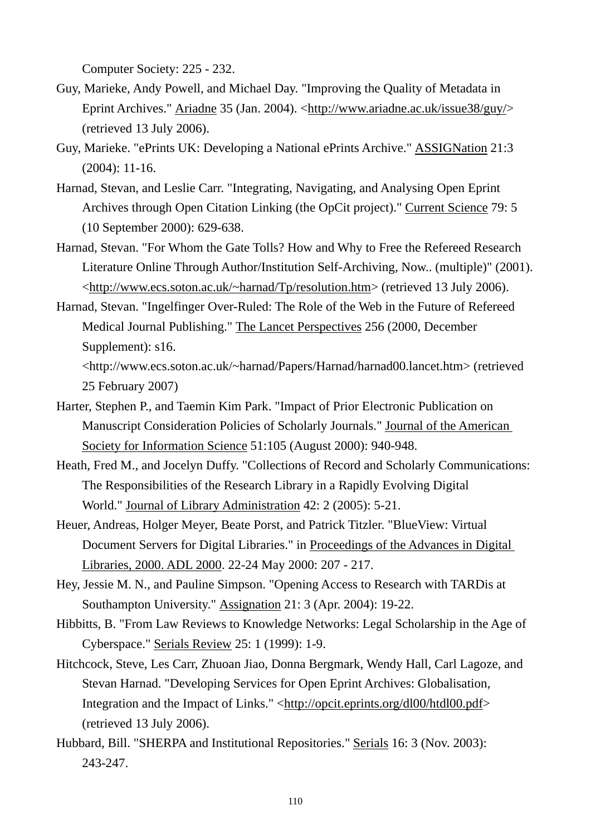Computer Society: 225 - 232.

- Guy, Marieke, Andy Powell, and Michael Day. "Improving the Quality of Metadata in Eprint Archives." Ariadne 35 (Jan. 2004). <http://www.ariadne.ac.uk/issue38/guy/> (retrieved 13 July 2006).
- Guy, Marieke. "ePrints UK: Developing a National ePrints Archive." ASSIGNation 21:3 (2004): 11-16.
- Harnad, Stevan, and Leslie Carr. "Integrating, Navigating, and Analysing Open Eprint Archives through Open Citation Linking (the OpCit project)." Current Science 79: 5 (10 September 2000): 629-638.
- Harnad, Stevan. "For Whom the Gate Tolls? How and Why to Free the Refereed Research Literature Online Through Author/Institution Self-Archiving, Now.. (multiple)" (2001). <http://www.ecs.soton.ac.uk/~harnad/Tp/resolution.htm> (retrieved 13 July 2006).
- Harnad, Stevan. "Ingelfinger Over-Ruled: The Role of the Web in the Future of Refereed Medical Journal Publishing." The Lancet Perspectives 256 (2000, December Supplement): s16.

<http://www.ecs.soton.ac.uk/~harnad/Papers/Harnad/harnad00.lancet.htm> (retrieved 25 February 2007)

- Harter, Stephen P., and Taemin Kim Park. "Impact of Prior Electronic Publication on Manuscript Consideration Policies of Scholarly Journals." Journal of the American Society for Information Science 51:105 (August 2000): 940-948.
- Heath, Fred M., and Jocelyn Duffy. "Collections of Record and Scholarly Communications: The Responsibilities of the Research Library in a Rapidly Evolving Digital World." Journal of Library Administration 42: 2 (2005): 5-21.
- Heuer, Andreas, Holger Meyer, Beate Porst, and Patrick Titzler. "BlueView: Virtual Document Servers for Digital Libraries." in Proceedings of the Advances in Digital Libraries, 2000. ADL 2000. 22-24 May 2000: 207 - 217.
- Hey, Jessie M. N., and Pauline Simpson. "Opening Access to Research with TARDis at Southampton University." Assignation 21: 3 (Apr. 2004): 19-22.
- Hibbitts, B. "From Law Reviews to Knowledge Networks: Legal Scholarship in the Age of Cyberspace." Serials Review 25: 1 (1999): 1-9.
- Hitchcock, Steve, Les Carr, Zhuoan Jiao, Donna Bergmark, Wendy Hall, Carl Lagoze, and Stevan Harnad. "Developing Services for Open Eprint Archives: Globalisation, Integration and the Impact of Links." <http://opcit.eprints.org/dl00/htdl00.pdf> (retrieved 13 July 2006).
- Hubbard, Bill. "SHERPA and Institutional Repositories." Serials 16: 3 (Nov. 2003): 243-247.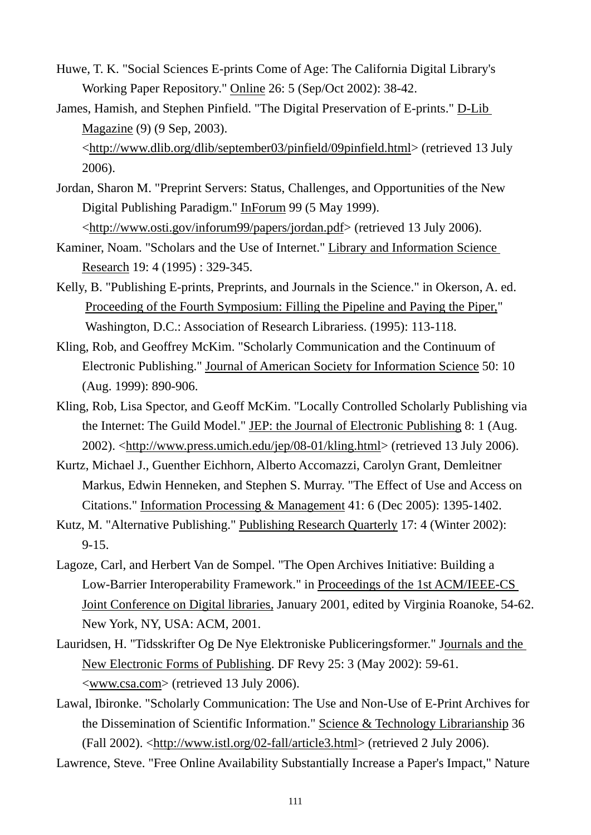- Huwe, T. K. "Social Sciences E-prints Come of Age: The California Digital Library's Working Paper Repository." Online 26: 5 (Sep/Oct 2002): 38-42.
- James, Hamish, and Stephen Pinfield. "The Digital Preservation of E-prints." D-Lib Magazine (9) (9 Sep, 2003).

<http://www.dlib.org/dlib/september03/pinfield/09pinfield.html> (retrieved 13 July 2006).

- Jordan, Sharon M. "Preprint Servers: Status, Challenges, and Opportunities of the New Digital Publishing Paradigm." InForum 99 (5 May 1999). <http://www.osti.gov/inforum99/papers/jordan.pdf> (retrieved 13 July 2006).
- Kaminer, Noam. "Scholars and the Use of Internet." Library and Information Science Research 19: 4 (1995) : 329-345.
- Kelly, B. "Publishing E-prints, Preprints, and Journals in the Science." in Okerson, A. ed. Proceeding of the Fourth Symposium: Filling the Pipeline and Paying the Piper," Washington, D.C.: Association of Research Librariess. (1995): 113-118.
- Kling, Rob, and Geoffrey McKim. "Scholarly Communication and the Continuum of Electronic Publishing." Journal of American Society for Information Science 50: 10 (Aug. 1999): 890-906.
- Kling, Rob, Lisa Spector, and Geoff McKim. "Locally Controlled Scholarly Publishing via the Internet: The Guild Model." JEP: the Journal of Electronic Publishing 8: 1 (Aug. 2002). <http://www.press.umich.edu/jep/08-01/kling.html> (retrieved 13 July 2006).
- Kurtz, Michael J., Guenther Eichhorn, Alberto Accomazzi, Carolyn Grant, Demleitner Markus, Edwin Henneken, and Stephen S. Murray. "The Effect of Use and Access on Citations." Information Processing & Management 41: 6 (Dec 2005): 1395-1402.
- Kutz, M. "Alternative Publishing." Publishing Research Quarterly 17: 4 (Winter 2002): 9-15.
- Lagoze, Carl, and Herbert Van de Sompel. "The Open Archives Initiative: Building a Low-Barrier Interoperability Framework." in Proceedings of the 1st ACM/IEEE-CS Joint Conference on Digital libraries, January 2001, edited by Virginia Roanoke, 54-62. New York, NY, USA: ACM, 2001.
- Lauridsen, H. "Tidsskrifter Og De Nye Elektroniske Publiceringsformer." Journals and the New Electronic Forms of Publishing. DF Revy 25: 3 (May 2002): 59-61. <www.csa.com> (retrieved 13 July 2006).
- Lawal, Ibironke. "Scholarly Communication: The Use and Non-Use of E-Print Archives for the Dissemination of Scientific Information." Science & Technology Librarianship 36 (Fall 2002). <http://www.istl.org/02-fall/article3.html> (retrieved 2 July 2006).

Lawrence, Steve. "Free Online Availability Substantially Increase a Paper's Impact," Nature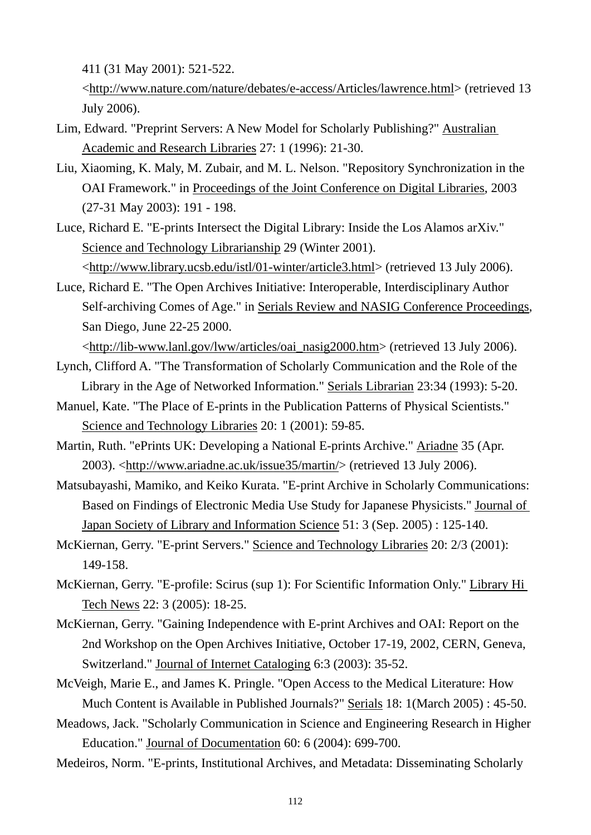411 (31 May 2001): 521-522.

<http://www.nature.com/nature/debates/e-access/Articles/lawrence.html> (retrieved 13 July 2006).

- Lim, Edward. "Preprint Servers: A New Model for Scholarly Publishing?" Australian Academic and Research Libraries 27: 1 (1996): 21-30.
- Liu, Xiaoming, K. Maly, M. Zubair, and M. L. Nelson. "Repository Synchronization in the OAI Framework." in Proceedings of the Joint Conference on Digital Libraries, 2003 (27-31 May 2003): 191 - 198.
- Luce, Richard E. "E-prints Intersect the Digital Library: Inside the Los Alamos arXiv." Science and Technology Librarianship 29 (Winter 2001). <http://www.library.ucsb.edu/istl/01-winter/article3.html> (retrieved 13 July 2006).
- Luce, Richard E. "The Open Archives Initiative: Interoperable, Interdisciplinary Author Self-archiving Comes of Age." in Serials Review and NASIG Conference Proceedings, San Diego, June 22-25 2000.
	- <http://lib-www.lanl.gov/lww/articles/oai\_nasig2000.htm> (retrieved 13 July 2006).
- Lynch, Clifford A. "The Transformation of Scholarly Communication and the Role of the Library in the Age of Networked Information." Serials Librarian 23:34 (1993): 5-20.
- Manuel, Kate. "The Place of E-prints in the Publication Patterns of Physical Scientists." Science and Technology Libraries 20: 1 (2001): 59-85.
- Martin, Ruth. "ePrints UK: Developing a National E-prints Archive." Ariadne 35 (Apr. 2003). <http://www.ariadne.ac.uk/issue35/martin/> (retrieved 13 July 2006).
- Matsubayashi, Mamiko, and Keiko Kurata. "E-print Archive in Scholarly Communications: Based on Findings of Electronic Media Use Study for Japanese Physicists." Journal of Japan Society of Library and Information Science 51: 3 (Sep. 2005) : 125-140.
- McKiernan, Gerry. "E-print Servers." Science and Technology Libraries 20: 2/3 (2001): 149-158.
- McKiernan, Gerry. "E-profile: Scirus (sup 1): For Scientific Information Only." Library Hi Tech News 22: 3 (2005): 18-25.
- McKiernan, Gerry. "Gaining Independence with E-print Archives and OAI: Report on the 2nd Workshop on the Open Archives Initiative, October 17-19, 2002, CERN, Geneva, Switzerland." Journal of Internet Cataloging 6:3 (2003): 35-52.
- McVeigh, Marie E., and James K. Pringle. "Open Access to the Medical Literature: How Much Content is Available in Published Journals?" Serials 18: 1(March 2005) : 45-50.
- Meadows, Jack. "Scholarly Communication in Science and Engineering Research in Higher Education." Journal of Documentation 60: 6 (2004): 699-700.
- Medeiros, Norm. "E-prints, Institutional Archives, and Metadata: Disseminating Scholarly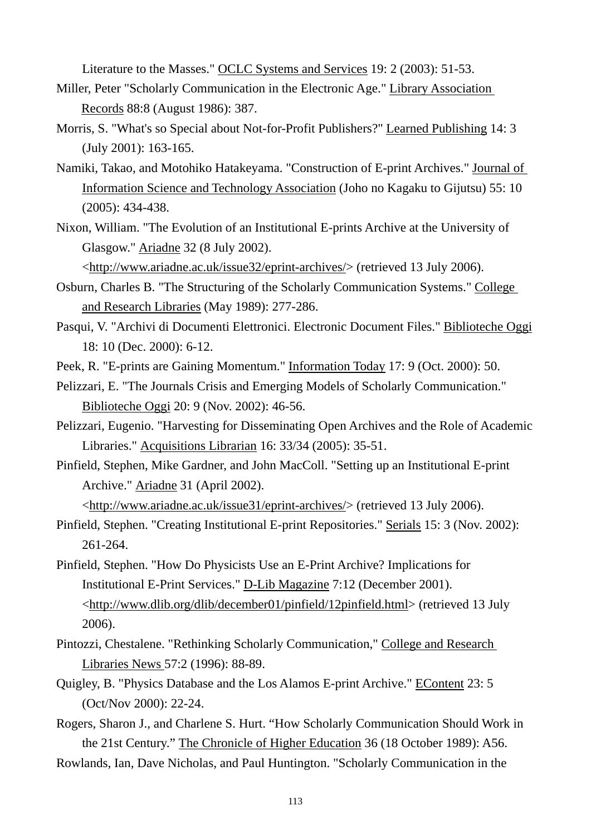Literature to the Masses." OCLC Systems and Services 19: 2 (2003): 51-53.

- Miller, Peter "Scholarly Communication in the Electronic Age." Library Association Records 88:8 (August 1986): 387.
- Morris, S. "What's so Special about Not-for-Profit Publishers?" Learned Publishing 14: 3 (July 2001): 163-165.
- Namiki, Takao, and Motohiko Hatakeyama. "Construction of E-print Archives." Journal of Information Science and Technology Association (Joho no Kagaku to Gijutsu) 55: 10 (2005): 434-438.
- Nixon, William. "The Evolution of an Institutional E-prints Archive at the University of Glasgow." Ariadne 32 (8 July 2002).

<http://www.ariadne.ac.uk/issue32/eprint-archives/> (retrieved 13 July 2006).

- Osburn, Charles B. "The Structuring of the Scholarly Communication Systems." College and Research Libraries (May 1989): 277-286.
- Pasqui, V. "Archivi di Documenti Elettronici. Electronic Document Files." Biblioteche Oggi 18: 10 (Dec. 2000): 6-12.
- Peek, R. "E-prints are Gaining Momentum." Information Today 17: 9 (Oct. 2000): 50.
- Pelizzari, E. "The Journals Crisis and Emerging Models of Scholarly Communication." Biblioteche Oggi 20: 9 (Nov. 2002): 46-56.
- Pelizzari, Eugenio. "Harvesting for Disseminating Open Archives and the Role of Academic Libraries." Acquisitions Librarian 16: 33/34 (2005): 35-51.
- Pinfield, Stephen, Mike Gardner, and John MacColl. "Setting up an Institutional E-print Archive." Ariadne 31 (April 2002).

<http://www.ariadne.ac.uk/issue31/eprint-archives/> (retrieved 13 July 2006).

- Pinfield, Stephen. "Creating Institutional E-print Repositories." Serials 15: 3 (Nov. 2002): 261-264.
- Pinfield, Stephen. "How Do Physicists Use an E-Print Archive? Implications for Institutional E-Print Services." D-Lib Magazine 7:12 (December 2001). <http://www.dlib.org/dlib/december01/pinfield/12pinfield.html> (retrieved 13 July 2006).
- Pintozzi, Chestalene. "Rethinking Scholarly Communication," College and Research Libraries News 57:2 (1996): 88-89.
- Quigley, B. "Physics Database and the Los Alamos E-print Archive." EContent 23: 5 (Oct/Nov 2000): 22-24.
- Rogers, Sharon J., and Charlene S. Hurt. "How Scholarly Communication Should Work in the 21st Century." The Chronicle of Higher Education 36 (18 October 1989): A56.

Rowlands, Ian, Dave Nicholas, and Paul Huntington. "Scholarly Communication in the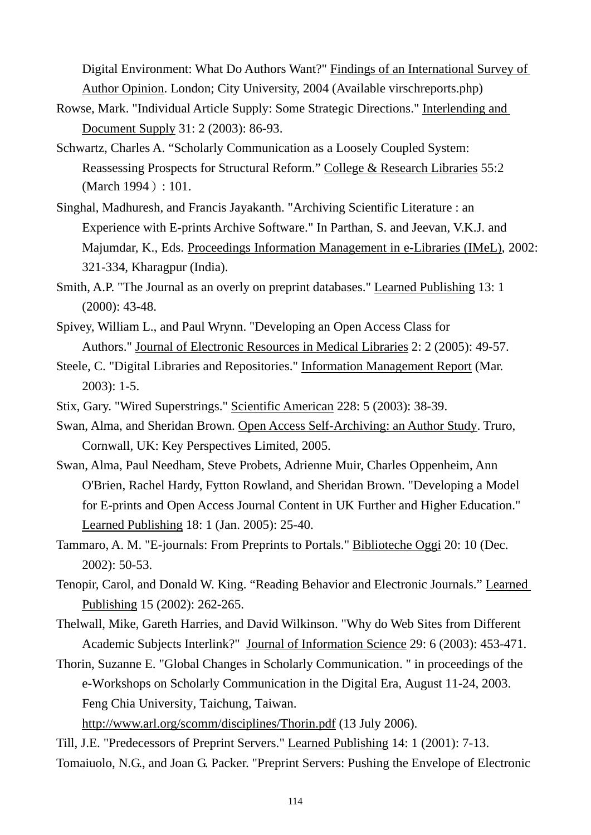Digital Environment: What Do Authors Want?" Findings of an International Survey of Author Opinion. London; City University, 2004 (Available virschreports.php)

- Rowse, Mark. "Individual Article Supply: Some Strategic Directions." Interlending and Document Supply 31: 2 (2003): 86-93.
- Schwartz, Charles A. "Scholarly Communication as a Loosely Coupled System: Reassessing Prospects for Structural Reform." College & Research Libraries 55:2 (March 1994): 101.
- Singhal, Madhuresh, and Francis Jayakanth. "Archiving Scientific Literature : an Experience with E-prints Archive Software." In Parthan, S. and Jeevan, V.K.J. and Majumdar, K., Eds. Proceedings Information Management in e-Libraries (IMeL), 2002: 321-334, Kharagpur (India).
- Smith, A.P. "The Journal as an overly on preprint databases." Learned Publishing 13: 1 (2000): 43-48.
- Spivey, William L., and Paul Wrynn. "Developing an Open Access Class for Authors." Journal of Electronic Resources in Medical Libraries 2: 2 (2005): 49-57.
- Steele, C. "Digital Libraries and Repositories." Information Management Report (Mar. 2003): 1-5.
- Stix, Gary. "Wired Superstrings." Scientific American 228: 5 (2003): 38-39.
- Swan, Alma, and Sheridan Brown. Open Access Self-Archiving: an Author Study. Truro, Cornwall, UK: Key Perspectives Limited, 2005.
- Swan, Alma, Paul Needham, Steve Probets, Adrienne Muir, Charles Oppenheim, Ann O'Brien, Rachel Hardy, Fytton Rowland, and Sheridan Brown. "Developing a Model for E-prints and Open Access Journal Content in UK Further and Higher Education." Learned Publishing 18: 1 (Jan. 2005): 25-40.
- Tammaro, A. M. "E-journals: From Preprints to Portals." Biblioteche Oggi 20: 10 (Dec. 2002): 50-53.
- Tenopir, Carol, and Donald W. King. "Reading Behavior and Electronic Journals." Learned Publishing 15 (2002): 262-265.
- Thelwall, Mike, Gareth Harries, and David Wilkinson. "Why do Web Sites from Different Academic Subjects Interlink?" Journal of Information Science 29: 6 (2003): 453-471.
- Thorin, Suzanne E. "Global Changes in Scholarly Communication. " in proceedings of the e-Workshops on Scholarly Communication in the Digital Era, August 11-24, 2003. Feng Chia University, Taichung, Taiwan.

http://www.arl.org/scomm/disciplines/Thorin.pdf (13 July 2006).

Till, J.E. "Predecessors of Preprint Servers." Learned Publishing 14: 1 (2001): 7-13. Tomaiuolo, N.G., and Joan G. Packer. "Preprint Servers: Pushing the Envelope of Electronic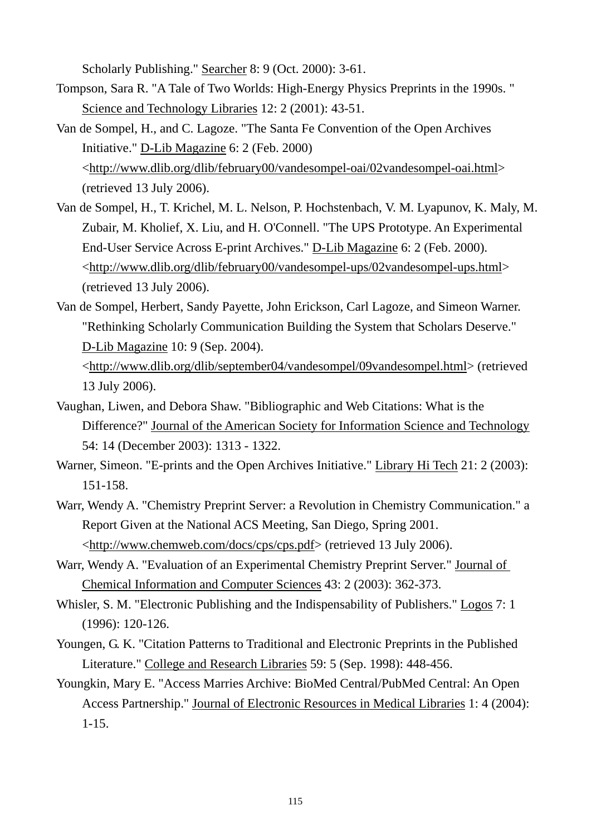Scholarly Publishing." Searcher 8: 9 (Oct. 2000): 3-61.

- Tompson, Sara R. "A Tale of Two Worlds: High-Energy Physics Preprints in the 1990s. " Science and Technology Libraries 12: 2 (2001): 43-51.
- Van de Sompel, H., and C. Lagoze. "The Santa Fe Convention of the Open Archives Initiative." D-Lib Magazine 6: 2 (Feb. 2000) <http://www.dlib.org/dlib/february00/vandesompel-oai/02vandesompel-oai.html> (retrieved 13 July 2006).
- Van de Sompel, H., T. Krichel, M. L. Nelson, P. Hochstenbach, V. M. Lyapunov, K. Maly, M. Zubair, M. Kholief, X. Liu, and H. O'Connell. "The UPS Prototype. An Experimental End-User Service Across E-print Archives." D-Lib Magazine 6: 2 (Feb. 2000). <http://www.dlib.org/dlib/february00/vandesompel-ups/02vandesompel-ups.html> (retrieved 13 July 2006).
- Van de Sompel, Herbert, Sandy Payette, John Erickson, Carl Lagoze, and Simeon Warner. "Rethinking Scholarly Communication Building the System that Scholars Deserve." D-Lib Magazine 10: 9 (Sep. 2004).
	- <http://www.dlib.org/dlib/september04/vandesompel/09vandesompel.html> (retrieved 13 July 2006).
- Vaughan, Liwen, and Debora Shaw. "Bibliographic and Web Citations: What is the Difference?" Journal of the American Society for Information Science and Technology 54: 14 (December 2003): 1313 - 1322.
- Warner, Simeon. "E-prints and the Open Archives Initiative." Library Hi Tech 21: 2 (2003): 151-158.
- Warr, Wendy A. "Chemistry Preprint Server: a Revolution in Chemistry Communication." a Report Given at the National ACS Meeting, San Diego, Spring 2001. <http://www.chemweb.com/docs/cps/cps.pdf> (retrieved 13 July 2006).
- Warr, Wendy A. "Evaluation of an Experimental Chemistry Preprint Server." Journal of Chemical Information and Computer Sciences 43: 2 (2003): 362-373.
- Whisler, S. M. "Electronic Publishing and the Indispensability of Publishers." Logos 7: 1 (1996): 120-126.
- Youngen, G. K. "Citation Patterns to Traditional and Electronic Preprints in the Published Literature." College and Research Libraries 59: 5 (Sep. 1998): 448-456.
- Youngkin, Mary E. "Access Marries Archive: BioMed Central/PubMed Central: An Open Access Partnership." Journal of Electronic Resources in Medical Libraries 1: 4 (2004): 1-15.